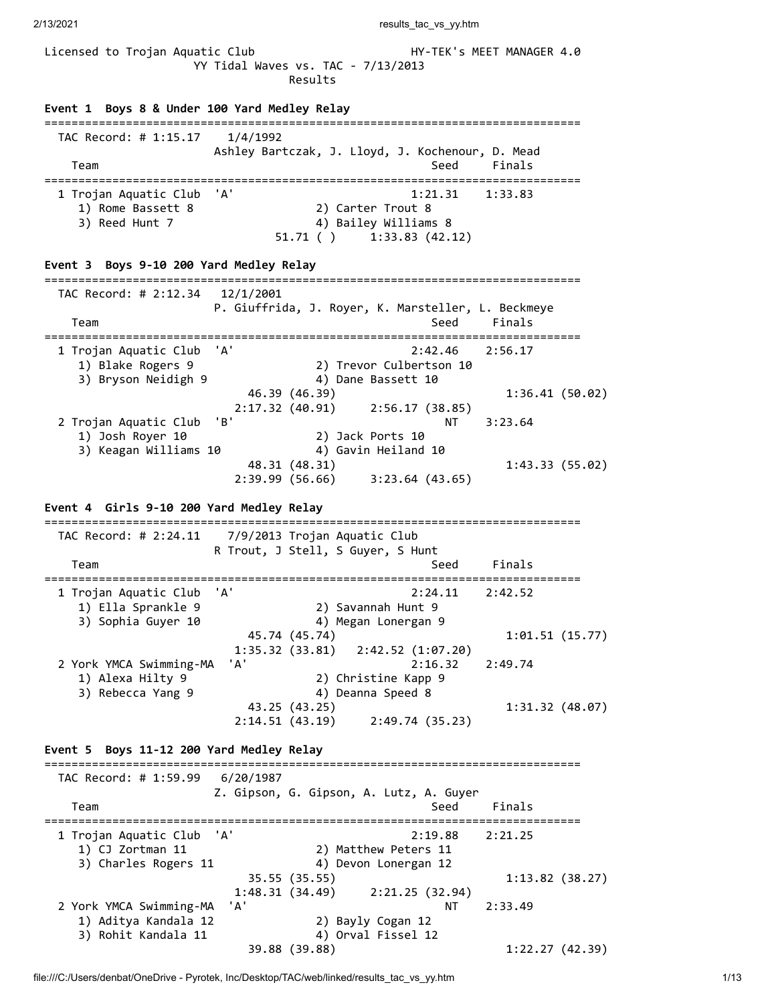2/13/2021 results\_tac\_vs\_yy.htm

| Licensed to Trojan Aquatic Club                                                |           | YY Tidal Waves vs. TAC - 7/13/2013<br>Results                                         | HY-TEK's MEET MANAGER 4.0                       |
|--------------------------------------------------------------------------------|-----------|---------------------------------------------------------------------------------------|-------------------------------------------------|
| Event 1 Boys 8 & Under 100 Yard Medley Relay                                   |           |                                                                                       |                                                 |
| =====================================<br>TAC Record: # 1:15.17<br>Team         | 1/4/1992  | =========================<br>Ashley Bartczak, J. Lloyd, J. Kochenour, D. Mead<br>Seed | Finals<br>==============================        |
| 1 Trojan Aquatic Club<br>1) Rome Bassett 8<br>3) Reed Hunt 7                   | 'A'       | 1:21.31<br>2) Carter Trout 8<br>4) Bailey Williams 8<br>$51.71$ ( ) $1:33.83$ (42.12) | 1:33.83                                         |
| Event 3 Boys 9-10 200 Yard Medley Relay                                        |           |                                                                                       |                                                 |
| TAC Record: # 2:12.34<br>Team<br>==================================            | 12/1/2001 | P. Giuffrida, J. Royer, K. Marsteller, L. Beckmeye<br>Seed                            | Finals<br>------------------------------------- |
| 1 Trojan Aquatic Club<br>1) Blake Rogers 9<br>3) Bryson Neidigh 9              | 'A'       | 2:42.46<br>2) Trevor Culbertson 10<br>4) Dane Bassett 10                              | 2:56.17                                         |
|                                                                                |           | 46.39 (46.39)<br>2:17.32 (40.91) 2:56.17 (38.85)                                      | 1:36.41(50.02)                                  |
| 2 Trojan Aquatic Club<br>1) Josh Royer 10<br>3) Keagan Williams 10             | 'B'       | NΤ<br>2) Jack Ports 10<br>4) Gavin Heiland 10                                         | 3:23.64                                         |
|                                                                                |           | 48.31 (48.31)<br>2:39.99 (56.66) 3:23.64 (43.65)                                      | 1:43.33(55.02)                                  |
| Event 4 Girls 9-10 200 Yard Medley Relay                                       |           |                                                                                       |                                                 |
| TAC Record: # 2:24.11                                                          |           | 7/9/2013 Trojan Aquatic Club<br>R Trout, J Stell, S Guyer, S Hunt                     |                                                 |
| Team<br>:========================                                              |           | Seed                                                                                  | Finals                                          |
| 1 Trojan Aquatic Club<br>1) Ella Sprankle 9<br>3) Sophia Guyer 10              | 'A'       | 2:24.11<br>2) Savannah Hunt 9<br>4) Megan Lonergan 9                                  | 2:42.52                                         |
|                                                                                |           | 45.74 (45.74)<br>1:35.32(33.81)<br>2:42.52(1:07.20)                                   | 1:01.51(15.77)                                  |
| 2 York YMCA Swimming-MA<br>1) Alexa Hilty 9<br>3) Rebecca Yang 9               | 'A'       | 2:16.32<br>2) Christine Kapp 9<br>4) Deanna Speed 8                                   | 2:49.74                                         |
|                                                                                |           | 43.25 (43.25)<br>$2:14.51$ (43.19) $2:49.74$ (35.23)                                  | 1:31.32(48.07)                                  |
| Event 5 Boys 11-12 200 Yard Medley Relay<br>================================== |           |                                                                                       |                                                 |
| TAC Record: # 1:59.99                                                          | 6/20/1987 |                                                                                       |                                                 |
| Team                                                                           |           | Z. Gipson, G. Gipson, A. Lutz, A. Guyer<br>Seed                                       | Finals<br>==========                            |
| 1 Trojan Aquatic Club<br>1) CJ Zortman 11<br>3) Charles Rogers 11              | 'A'       | 2:19.88<br>2) Matthew Peters 11<br>4) Devon Lonergan 12                               | 2:21.25                                         |
|                                                                                |           | 35.55 (35.55)<br>1:48.31(34.49)<br>2:21.25(32.94)                                     | 1:13.82(38.27)                                  |
| 2 York YMCA Swimming-MA<br>1) Aditya Kandala 12                                | 'A'       | ΝT<br>2) Bayly Cogan 12                                                               | 2:33.49                                         |
| 3) Rohit Kandala 11                                                            |           | 4) Orval Fissel 12<br>39.88 (39.88)                                                   | 1:22.27(42.39)                                  |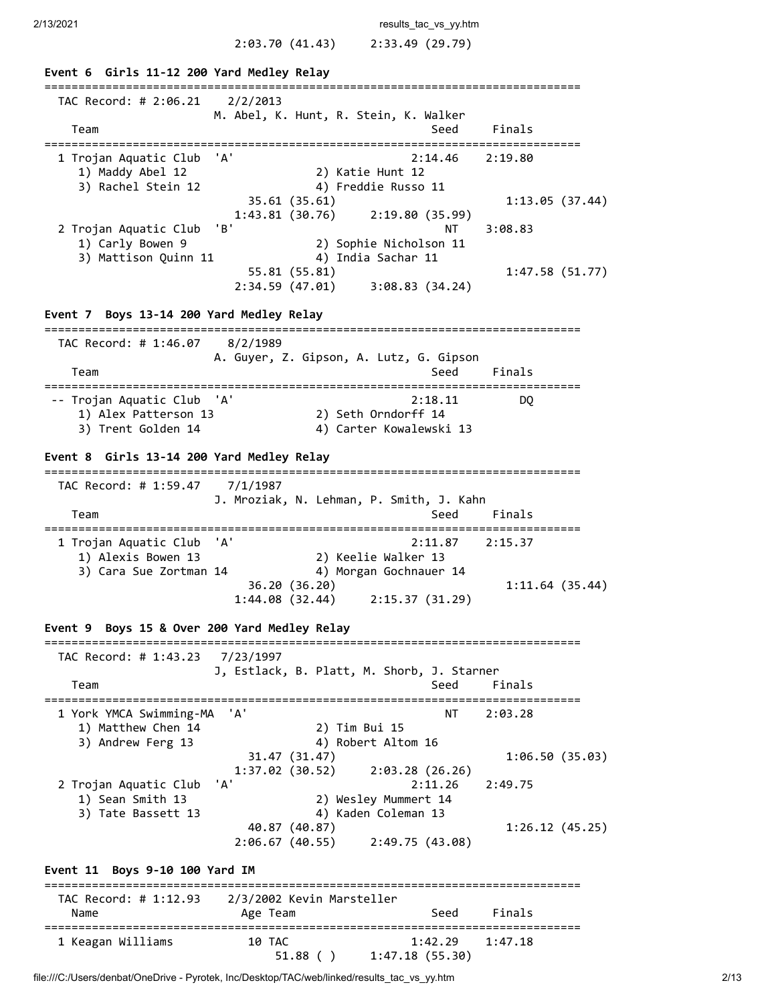2/13/2021 **results** tac vs yy.htm

**Event 6 Girls 11-12 200 Yard Medley Relay** =============================================================================== TAC Record: # 2:06.21 2/2/2013 M. Abel, K. Hunt, R. Stein, K. Walker Team Seed Finals =============================================================================== 1 Trojan Aquatic Club 'A' 2:14.46 2:19.80 1) Maddy Abel 12 2) Katie Hunt 12 3) Rachel Stein 12 4) Freddie Russo 11 35.61 (35.61) 1:13.05 (37.44) 1:43.81 (30.76) 2:19.80 (35.99) 2 Trojan Aquatic Club 'B' 1) Carly Bowen 9 (1) Carly Bowen 9 (1) 2) Sophie Nicholson 11<br>
2) Sophie Nicholson 11<br>
3) Mattison Quinn 11 (1) 4) India Sachar 11 1) Carly Bowen 9 2) Sophie Nicholson 11 3) Mattison Quinn 11 4) India Sachar 11 55.81 (55.81) 1:47.58 (51.77) 2:34.59 (47.01) 3:08.83 (34.24) **Event 7 Boys 13-14 200 Yard Medley Relay** =============================================================================== TAC Record: # 1:46.07 8/2/1989 A. Guyer, Z. Gipson, A. Lutz, G. Gipson Team Seed Finals =============================================================================== -- Trojan Aquatic Club 'A' 2:18.11 DQ 1) Alex Patterson 13 2) Seth Orndorff 14 3) Trent Golden 14  $\hskip1cm$  4) Carter Kowalewski 13 **Event 8 Girls 13-14 200 Yard Medley Relay** =============================================================================== TAC Record: # 1:59.47 7/1/1987 J. Mroziak, N. Lehman, P. Smith, J. Kahn Team Seed Finals =============================================================================== 1 Trojan Aquatic Club 'A' 2:11.87 2:15.37 1) Alexis Bowen 13 2) Keelie Walker 13 3) Cara Sue Zortman 14  $\hskip1cm$  4) Morgan Gochnauer 14 36.20 (36.20) 1:11.64 (35.44) 1:44.08 (32.44) 2:15.37 (31.29) **Event 9 Boys 15 & Over 200 Yard Medley Relay** =============================================================================== TAC Record: # 1:43.23 7/23/1997 J, Estlack, B. Platt, M. Shorb, J. Starner Team Seed Finals =============================================================================== 1 York YMCA Swimming-MA 'A' NT 2:03.28 1) Matthew Chen 14 2) Tim Bui 15 3) Andrew Ferg 13 4) Robert Altom 16 31.47 (31.47) 1:06.50 (35.03)  $31.47$   $(31.47)$ <br> $1:37.02$   $(30.52)$   $2:03.28$   $(26.26)$  2 Trojan Aquatic Club 'A' 2:11.26 2:49.75 1) Sean Smith 13 2) Wesley Mummert 14 3) Tate Bassett 13 4) Kaden Coleman 13 40.87 (40.87) 1:26.12 (45.25) 2:06.67 (40.55) 2:49.75 (43.08) **Event 11 Boys 9-10 100 Yard IM** =============================================================================== TAC Record: # 1:12.93 2/3/2002 Kevin Marsteller Name **Age Team** Age Team Seed Finals =============================================================================== 1 Keagan Williams 10 TAC 1:42.29 1:47.18 51.88 ( ) 1:47.18 (55.30)

file:///C:/Users/denbat/OneDrive - Pyrotek, Inc/Desktop/TAC/web/linked/results\_tac\_vs\_yy.htm 2/13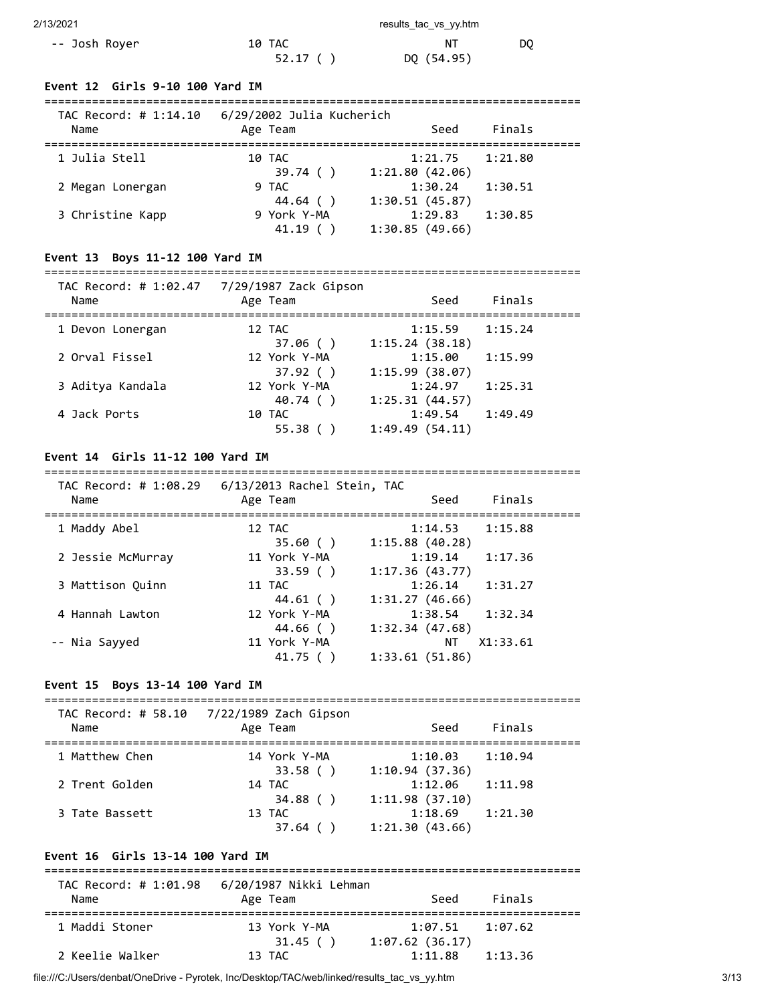| 2/13/2021 | results tac vs vv.htm |  |
|-----------|-----------------------|--|
|           |                       |  |

| -- Josh Royer | 10 TAC  |            | DO. |
|---------------|---------|------------|-----|
|               | 52.17() | DQ (54.95) |     |

### **Event 12 Girls 9-10 100 Yard IM**

| TAC Record: # 1:14.10<br>Name | 6/29/2002 Julia Kucherich<br>Age Team | Seed                                        | Finals  |
|-------------------------------|---------------------------------------|---------------------------------------------|---------|
| 1 Julia Stell                 | 10 TAC<br>39.74()                     | 1:21.75<br>1:21.80(42.06)                   | 1:21.80 |
| 2 Megan Lonergan              | 9 TAC                                 | 1:30.24                                     | 1:30.51 |
| 3 Christine Kapp              | 44.64 ()<br>9 York Y-MA<br>41.19      | 1:30.51(45.87)<br>1:29.83<br>1:30.85(49.66) | 1:30.85 |

# **Event 13 Boys 11-12 100 Yard IM**

#### =============================================================================== TAC Record: # 1:02.47 7/29/1987 Zack Gipson

| 772771907 LUCK 0109011<br>Age Team | Seed           | Finals  |
|------------------------------------|----------------|---------|
| 12 TAC                             | 1:15.59        | 1:15.24 |
| 37.06()                            | 1:15.24(38.18) |         |
| 12 York Y-MA                       | 1:15.00        | 1:15.99 |
| 37.92()                            | 1:15.99(38.07) |         |
| 12 York Y-MA                       | 1:24.97        | 1:25.31 |
| 40.74 ()                           | 1:25.31(44.57) |         |
| 10 TAC                             | 1:49.54        | 1:49.49 |
| 55.38                              | 1:49.49(54.11) |         |
|                                    |                |         |

### **Event 14 Girls 11-12 100 Yard IM**

#### =============================================================================== TAC Record: # 1:08.29 6/13/2013 Rachel Stein, TAC

| IAL RELUIU. # 1.00.ZJ<br>Name | O/IS/Z0IS NACHEI STEIH, TAC<br>Age Team | Seed                      | Finals   |  |
|-------------------------------|-----------------------------------------|---------------------------|----------|--|
| 1 Maddy Abel                  | 12 TAC<br>35.60()                       | 1:14.53<br>1:15.88(40.28) | 1:15.88  |  |
| 2 Jessie McMurray             | 11 York Y-MA<br>33.59()                 | 1:19.14<br>1:17.36(43.77) | 1:17.36  |  |
| 3 Mattison Ouinn              | 11 TAC<br>44.61()                       | 1:26.14<br>1:31.27(46.66) | 1:31.27  |  |
| 4 Hannah Lawton               | 12 York Y-MA<br>44.66()                 | 1:38.54<br>1:32.34(47.68) | 1:32.34  |  |
| -- Nia Sayyed                 | 11 York Y-MA<br>41.75()                 | ΝT<br>1:33.61(51.86)      | X1:33.61 |  |

### **Event 15 Boys 13-14 100 Yard IM**

| TAC Record: # 58.10 | 7/22/1989 Zach Gipson |                           |         |
|---------------------|-----------------------|---------------------------|---------|
| Name                | Age Team              | Seed                      | Finals  |
| 1 Matthew Chen      | 14 York Y-MA          | 1:10.03                   | 1:10.94 |
| 2 Trent Golden      | 33.58()<br>14 TAC     | 1:10.94(37.36)<br>1:12.06 | 1:11.98 |
| 3 Tate Bassett      | 34.88()<br>13 TAC     | 1:11.98(37.10)<br>1:18.69 | 1:21.30 |
|                     | 37.64                 | 1:21.30(43.66)            |         |

# **Event 16 Girls 13-14 100 Yard IM**

| TAC Record: # 1:01.98 | 6/20/1987 Nikki Lehman  |                                       |         |  |
|-----------------------|-------------------------|---------------------------------------|---------|--|
| Name                  | Age Team                | Seed                                  | Finals  |  |
| 1 Maddi Stoner        | 13 York Y-MA<br>31.45() | $1:07.51$ $1:07.62$<br>1:07.62(36.17) |         |  |
| 2 Keelie Walker       | 13 TAC                  | 1:11.88                               | 1:13.36 |  |

file:///C:/Users/denbat/OneDrive - Pyrotek, Inc/Desktop/TAC/web/linked/results\_tac\_vs\_yy.htm 3/13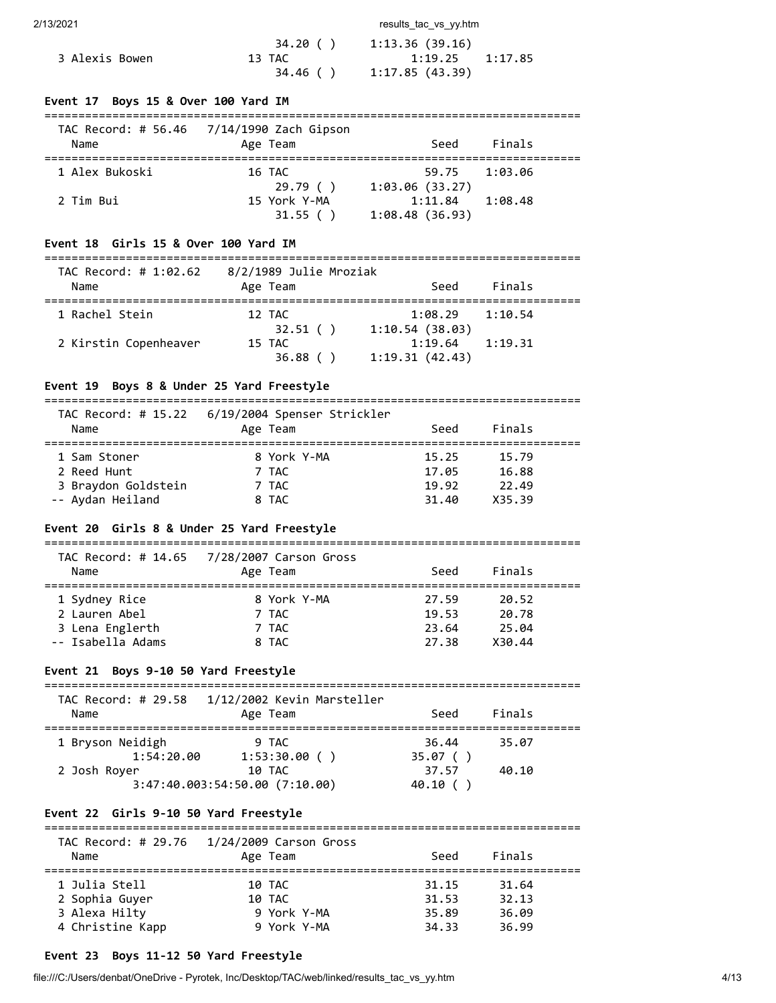2/13/2021 **results** tac vs yy.htm

|                | 34.20 ( ) | 1:13.36(39.16)      |  |
|----------------|-----------|---------------------|--|
| 3 Alexis Bowen | 13 TAC    | $1:19.25$ $1:17.85$ |  |
|                | 34.46 ( ) | 1:17.85 (43.39)     |  |

### **Event 17 Boys 15 & Over 100 Yard IM**

| Name           | TAC Record: # 56.46 7/14/1990 Zach Gipson<br>Age Team | Seed                                        | Finals  |
|----------------|-------------------------------------------------------|---------------------------------------------|---------|
| 1 Alex Bukoski | 16 TAC                                                | 59.75                                       | 1:93.96 |
| 2 Tim Bui      | 29.79()<br>15 York Y-MA<br>31.55()                    | 1:03.06(33.27)<br>1:11.84<br>1:08.48(36.93) | 1:08.48 |

#### **Event 18 Girls 15 & Over 100 Yard IM**

===============================================================================

| TAC Record: # 1:02.62<br>Name | 8/2/1989 Julie Mroziak<br>Age Team | Seed                      | Finals  |
|-------------------------------|------------------------------------|---------------------------|---------|
| 1 Rachel Stein                | 12 TAC<br>32.51()                  | 1:08.29<br>1:10.54(38.03) | 1:10.54 |
| 2 Kirstin Copenheaver         | 15 TAC<br>36.88()                  | 1:19.64<br>1:19.31(42.43) | 1:19.31 |

### **Event 19 Boys 8 & Under 25 Yard Freestyle**

=============================================================================== TAC Record: # 15.22 6/19/2004 Spenser Strickler

| Name                | TAC NECOLO' # 13.22 0/19/2004 Spenser StrickTer<br>Age Team | Seed  | Finals |  |
|---------------------|-------------------------------------------------------------|-------|--------|--|
| 1 Sam Stoner        | 8 York Y-MA                                                 | 15.25 | 15.79  |  |
| 2 Reed Hunt         | 7 TAC                                                       | 17.05 | 16.88  |  |
| 3 Braydon Goldstein | 7 TAC                                                       | 19.92 | 22.49  |  |
| -- Aydan Heiland    | 8 TAC                                                       | 31.40 | X35.39 |  |

## **Event 20 Girls 8 & Under 25 Yard Freestyle**

| Name              | TAC Record: # 14.65 7/28/2007 Carson Gross<br>Age Team | Seed  | Finals |  |
|-------------------|--------------------------------------------------------|-------|--------|--|
| 1 Sydney Rice     | 8 York Y-MA                                            | 27.59 | 20.52  |  |
| 2 Lauren Abel     | 7 TAC                                                  | 19.53 | 20.78  |  |
| 3 Lena Englerth   | 7 TAC                                                  | 23.64 | 25.04  |  |
| -- Isabella Adams | 8 TAC                                                  | 27.38 | X30.44 |  |

### **Event 21 Boys 9-10 50 Yard Freestyle**

| TAC Record: # 29.58<br>Name                    | 1/12/2002 Kevin Marsteller<br>Age Team                            | Seed                                | Finals         |  |
|------------------------------------------------|-------------------------------------------------------------------|-------------------------------------|----------------|--|
| 1 Bryson Neidigh<br>1:54:20.00<br>2 Josh Royer | 9 TAC<br>1:53:30.00()<br>10 TAC<br>3:47:40.003:54:50.00 (7:10.00) | 36.44<br>35.07()<br>37.57<br>40.10( | 35.07<br>40.10 |  |

# **Event 22 Girls 9-10 50 Yard Freestyle**

===============================================================================

| TAC Record: # 29.76<br>Name | 1/24/2009 Carson Gross<br>Age Team | Seed  | Finals |  |
|-----------------------------|------------------------------------|-------|--------|--|
| 1 Julia Stell               | 10 TAC                             | 31.15 | 31.64  |  |
| 2 Sophia Guyer              | 10 TAC                             | 31.53 | 32.13  |  |
| 3 Alexa Hilty               | 9 York Y-MA                        | 35.89 | 36.09  |  |
| 4 Christine Kapp            | 9 York Y-MA                        | 34.33 | 36.99  |  |

# **Event 23 Boys 11-12 50 Yard Freestyle**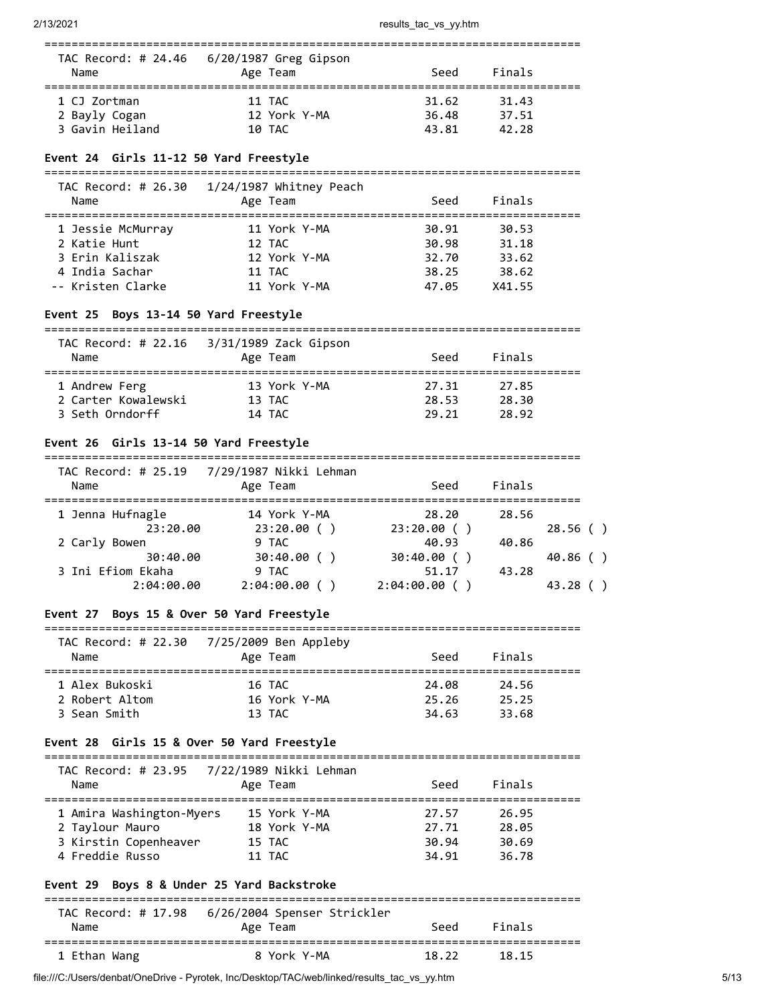| Name            | TAC Record: # 24.46    6/20/1987    Greg Gipson<br>Age Team | Seed  | Finals |  |
|-----------------|-------------------------------------------------------------|-------|--------|--|
| 1 CJ Zortman    | 11 TAC                                                      | 31.62 | 31.43  |  |
| 2 Bayly Cogan   | 12 York Y-MA                                                | 36.48 | 37.51  |  |
| 3 Gavin Heiland | 10 TAC                                                      | 43.81 | 42.28  |  |

### **Event 24 Girls 11-12 50 Yard Freestyle**

===============================================================================

| TAC Record: # 26.30<br>Name | $1/24/1987$ Whitney Peach<br>Age Team | Seed  | Finals |  |
|-----------------------------|---------------------------------------|-------|--------|--|
| 1 Jessie McMurray           | 11 York Y-MA                          | 30.91 | 30.53  |  |
| 2 Katie Hunt                | 12 TAC                                | 30.98 | 31.18  |  |
| 3 Erin Kaliszak             | 12 York Y-MA                          | 32.70 | 33.62  |  |
| 4 India Sachar              | 11 TAC                                | 38.25 | 38.62  |  |
| -- Kristen Clarke           | 11 York Y-MA                          | 47.05 | X41.55 |  |

### **Event 25 Boys 13-14 50 Yard Freestyle**

| TAC Record: # 22.16<br>Name | 3/31/1989 Zack Gipson<br>Age Team | Seed  | Finals |  |
|-----------------------------|-----------------------------------|-------|--------|--|
| 1 Andrew Ferg               | 13 York Y-MA                      | 27.31 | 27.85  |  |
| 2 Carter Kowalewski         | 13 TAC                            | 28.53 | 28.30  |  |
| 3 Seth Orndorff             | 14 TAC                            | 29.21 | 28.92  |  |

#### **Event 26 Girls 13-14 50 Yard Freestyle**

| TAC Record: # 25.19<br>Name | 7/29/1987 Nikki Lehman<br>Age Team | Seed         | Finals |         |
|-----------------------------|------------------------------------|--------------|--------|---------|
| 1 Jenna Hufnagle            | 14 York Y-MA                       | 28.20        | 28.56  |         |
| 23:20.00                    | 23:20.00()                         | 23:20.00()   |        | 28.56() |
| 2 Carly Bowen               | 9 TAC                              | 40.93        | 40.86  |         |
| 30:40.00                    | 30:40.00()                         | 30:40.00()   |        | 40.86() |
| 3 Ini Efiom Ekaha           | 9 TAC                              | 51.17        | 43.28  |         |
| 2:04:00.00                  | $2:04:00.00$ (                     | 2:04:00.00() |        | 43.28   |

### **Event 27 Boys 15 & Over 50 Yard Freestyle**

|                | TAC Record: # 22.30 7/25/2009 Ben Appleby |       |        |  |
|----------------|-------------------------------------------|-------|--------|--|
| Name           | Age Team                                  | Seed  | Finals |  |
|                |                                           |       |        |  |
| 1 Alex Bukoski | 16 TAC                                    | 24.08 | 24.56  |  |
| 2 Robert Altom | 16 York Y-MA                              | 25.26 | 25.25  |  |
| 3 Sean Smith   |                                           |       |        |  |

### **Event 28 Girls 15 & Over 50 Yard Freestyle**

===============================================================================

| Name                     | TAC Record: # 23.95 7/22/1989 Nikki Lehman<br>Age Team | Seed  | Finals |  |
|--------------------------|--------------------------------------------------------|-------|--------|--|
| 1 Amira Washington-Myers | 15 York Y-MA                                           | 27.57 | 26.95  |  |
| 2 Taylour Mauro          | 18 York Y-MA                                           | 27.71 | 28.05  |  |
| 3 Kirstin Copenheaver    | 15 TAC                                                 | 30.94 | 30.69  |  |
| 4 Freddie Russo          | 11 TAC                                                 | 34.91 | 36.78  |  |

## **Event 29 Boys 8 & Under 25 Yard Backstroke**

| Name         | TAC Record: # 17.98 6/26/2004 Spenser Strickler<br>Age Team | Seed  | Finals |  |
|--------------|-------------------------------------------------------------|-------|--------|--|
| 1 Ethan Wang | 8 York Y-MA                                                 | 18.22 | 18.15  |  |

file:///C:/Users/denbat/OneDrive - Pyrotek, Inc/Desktop/TAC/web/linked/results\_tac\_vs\_yy.htm 5/13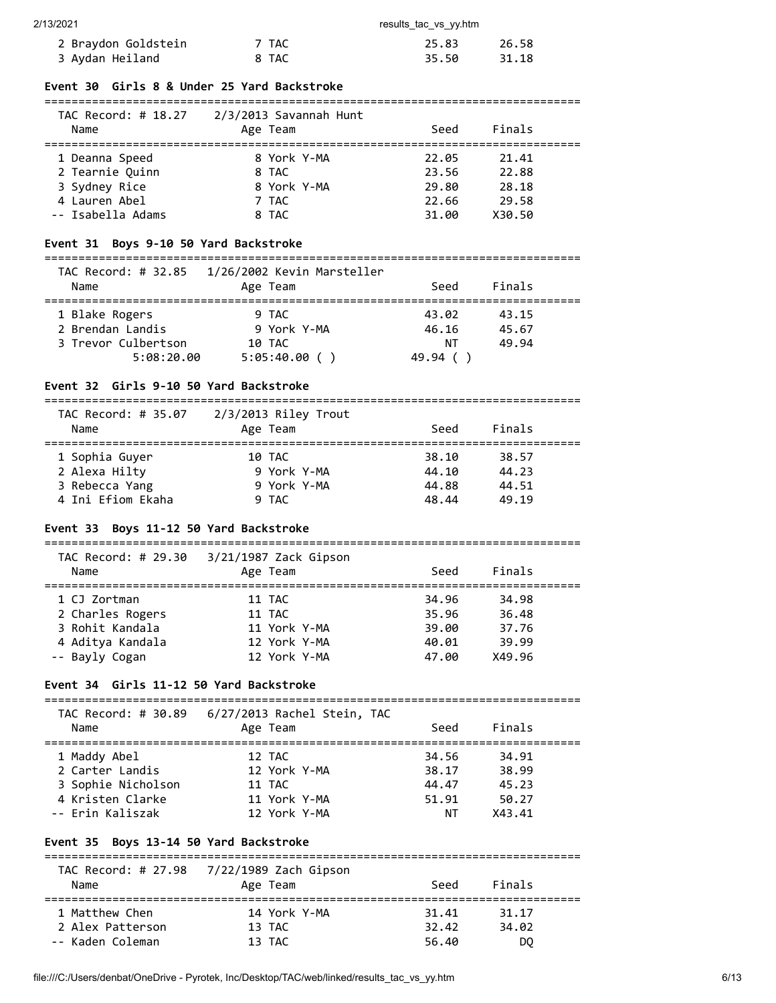| 2/13/2021           |       | results tac vs yy.htm |       |
|---------------------|-------|-----------------------|-------|
| 2 Braydon Goldstein | 7 TAC | 25.83                 | 26.58 |
| 3 Aydan Heiland     | 8 TAC | 35.50                 | 31.18 |

### **Event 30 Girls 8 & Under 25 Yard Backstroke**

| TAC Record: # 18.27 | 2/3/2013 Savannah Hunt |       |        |  |
|---------------------|------------------------|-------|--------|--|
| Name                | Age Team               | Seed  | Finals |  |
|                     |                        |       |        |  |
| 1 Deanna Speed      | 8 York Y-MA            | 22.05 | 21.41  |  |
| 2 Tearnie Quinn     | 8 TAC                  | 23.56 | 22.88  |  |
| 3 Sydney Rice       | 8 York Y-MA            | 29.80 | 28.18  |  |
| 4 Lauren Abel       | 7 TAC                  | 22.66 | 29.58  |  |
| -- Isabella Adams   | 8 TAC                  | 31.00 | X30.50 |  |

## **Event 31 Boys 9-10 50 Yard Backstroke**

### ===============================================================================

| TAC Record: # 32.85<br>Name | 1/26/2002 Kevin Marsteller<br>Age Team | Seed    | Finals |  |
|-----------------------------|----------------------------------------|---------|--------|--|
| 1 Blake Rogers              | 9 TAC                                  | 43.02   | 43.15  |  |
| 2 Brendan Landis            | 9 York Y-MA                            | 46.16   | 45.67  |  |
| 3 Trevor Culbertson         | 10 TAC                                 | NΤ      | 49.94  |  |
| 5:08:20.00                  | 5:05:40.00( )                          | 49.94 ( |        |  |

## **Event 32 Girls 9-10 50 Yard Backstroke**

| TAC Record: # 35.07 | $2/3/2013$ Riley Trout |       |        |  |
|---------------------|------------------------|-------|--------|--|
| Name                | Age Team               | Seed  | Finals |  |
| 1 Sophia Guyer      | 10 TAC                 | 38.10 | 38.57  |  |
| 2 Alexa Hilty       | 9 York Y-MA            | 44.10 | 44.23  |  |
| 3 Rebecca Yang      | 9 York Y-MA            | 44.88 | 44.51  |  |
| 4 Ini Efiom Ekaha   | 9 TAC                  | 48.44 | 49.19  |  |

## **Event 33 Boys 11-12 50 Yard Backstroke**

| TAC Record: # 29.30<br>Name | $3/21/1987$ Zack Gipson<br>Age Team | Seed  | Finals |  |
|-----------------------------|-------------------------------------|-------|--------|--|
| 1 CJ Zortman                | 11 TAC                              | 34.96 | 34.98  |  |
| 2 Charles Rogers            | 11 TAC                              | 35.96 | 36.48  |  |
| 3 Rohit Kandala             | 11 York Y-MA                        | 39.00 | 37.76  |  |
| 4 Aditya Kandala            | 12 York Y-MA                        | 40.01 | 39.99  |  |
| -- Bayly Cogan              | 12 York Y-MA                        | 47.00 | X49.96 |  |

## **Event 34 Girls 11-12 50 Yard Backstroke**

| TAC Record: # 30.89<br>Name | 6/27/2013 Rachel Stein, TAC<br>Age Team | Seed  | Finals |  |
|-----------------------------|-----------------------------------------|-------|--------|--|
| 1 Maddy Abel                | 12 TAC                                  | 34.56 | 34.91  |  |
| 2 Carter Landis             | 12 York Y-MA                            | 38.17 | 38.99  |  |
| 3 Sophie Nicholson          | 11 TAC                                  | 44.47 | 45.23  |  |
| 4 Kristen Clarke            | 11 York Y-MA                            | 51.91 | 50.27  |  |
| -- Erin Kaliszak            | 12 York Y-MA                            | NΤ    | X43.41 |  |

## **Event 35 Boys 13-14 50 Yard Backstroke**

|                  | TAC Record: # 27.98 7/22/1989 Zach Gipson |       |        |  |
|------------------|-------------------------------------------|-------|--------|--|
| Name             | Age Team                                  | Seed  | Finals |  |
| 1 Matthew Chen   | 14 York Y-MA                              | 31.41 | 31.17  |  |
|                  |                                           |       |        |  |
| 2 Alex Patterson | 13 TAC                                    | 32.42 | 34.02  |  |
| -- Kaden Coleman | 13 TAC                                    | 56.40 | DO     |  |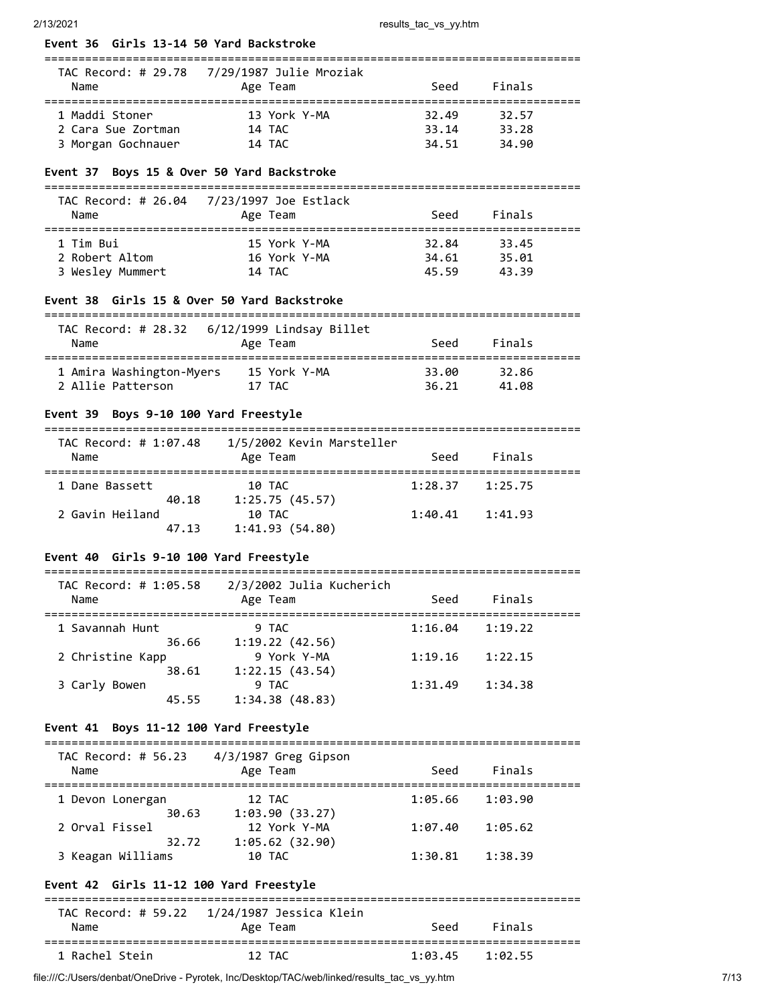| Event 36 Girls 13-14 50 Yard Backstroke                    |                                                                |             |                                           |
|------------------------------------------------------------|----------------------------------------------------------------|-------------|-------------------------------------------|
| Name                                                       | Age Team                                                       | Seed        | Finals                                    |
| 1 Maddi Stoner<br>2 Cara Sue Zortman<br>3 Morgan Gochnauer | 13 York Y-MA<br>14 TAC<br>14 TAC                               |             | 32.49 32.57<br>33.14 33.28<br>34.51 34.90 |
| Event 37 Boys 15 & Over 50 Yard Backstroke                 |                                                                |             |                                           |
|                                                            |                                                                |             |                                           |
| Name                                                       | Age Team                                                       | Seed        | Finals                                    |
| 1 Tim Bui                                                  | 15 York Y-MA                                                   | 32.84 33.45 |                                           |
| 2 Robert Altom<br>3 Wesley Mummert                         | 16 York Y-MA<br>14 TAC                                         | 45.59       | 34.61 35.01<br>43.39                      |
| Event 38 Girls 15 & Over 50 Yard Backstroke                |                                                                |             |                                           |
|                                                            |                                                                |             |                                           |
| Name                                                       | TAC Record: # 28.32    6/12/1999    Lindsay Billet<br>Age Team | Seed        | Finals                                    |
|                                                            |                                                                | 33.00       | 32.86                                     |
|                                                            |                                                                |             | 36.21 41.08                               |
| Event 39 Boys 9-10 100 Yard Freestyle                      |                                                                |             |                                           |
| Name                                                       | TAC Record: # 1:07.48   1/5/2002 Kevin Marsteller<br>Age Team  | <b>Seed</b> | Finals                                    |
| 1 Dane Bassett                                             | 10 TAC                                                         |             | $1:28.37$ $1:25.75$                       |
| 2 Gavin Heiland<br>47.13                                   | 40.18 1:25.75 (45.57)<br>10 TAC<br>1:41.93(54.80)              |             | $1:40.41$ $1:41.93$                       |
| Event 40 Girls 9-10 100 Yard Freestyle                     |                                                                |             |                                           |
|                                                            |                                                                |             |                                           |
| Name                                                       | TAC Record: $\#$ 1:05.58 2/3/2002 Julia Kucherich<br>Age Team  | Seed        | Finals                                    |
| 1 Savannah Hunt                                            | 9 TAC                                                          | 1:16.04     | 1:19.22                                   |
| 36.66<br>2 Christine Kapp                                  | 1:19.22(42.56)<br>9 York Y-MA                                  | 1:19.16     | 1:22.15                                   |
| 38.61<br>3 Carly Bowen                                     | 1:22.15(43.54)<br>9 TAC                                        | 1:31.49     | 1:34.38                                   |
| 45.55<br>Event 41 Boys 11-12 100 Yard Freestyle            | 1:34.38(48.83)                                                 |             |                                           |
|                                                            |                                                                |             |                                           |
| TAC Record: # 56.23 4/3/1987 Greg Gipson<br>Name           | Age Team                                                       | Seed        | Finals                                    |
| 1 Devon Lonergan                                           | 12 TAC                                                         | 1:05.66     | 1:03.90                                   |
| 2 Orval Fissel                                             | 30.63 1:03.90 (33.27)<br>12 York Y-MA                          | 1:07.40     | 1:05.62                                   |
| 32.72<br>3 Keagan Williams                                 | 1:05.62(32.90)<br>10 TAC                                       | 1:30.81     | 1:38.39                                   |
| Event 42 Girls 11-12 100 Yard Freestyle                    |                                                                |             |                                           |
| TAC Record: # 59.22<br>Name                                | 1/24/1987 Jessica Klein<br>Age Team                            | Seed        | Finals                                    |
| 1 Rachel Stein                                             | 12 TAC                                                         | 1:03.45     | 1:02.55                                   |

file:///C:/Users/denbat/OneDrive - Pyrotek, Inc/Desktop/TAC/web/linked/results\_tac\_vs\_yy.htm 7/13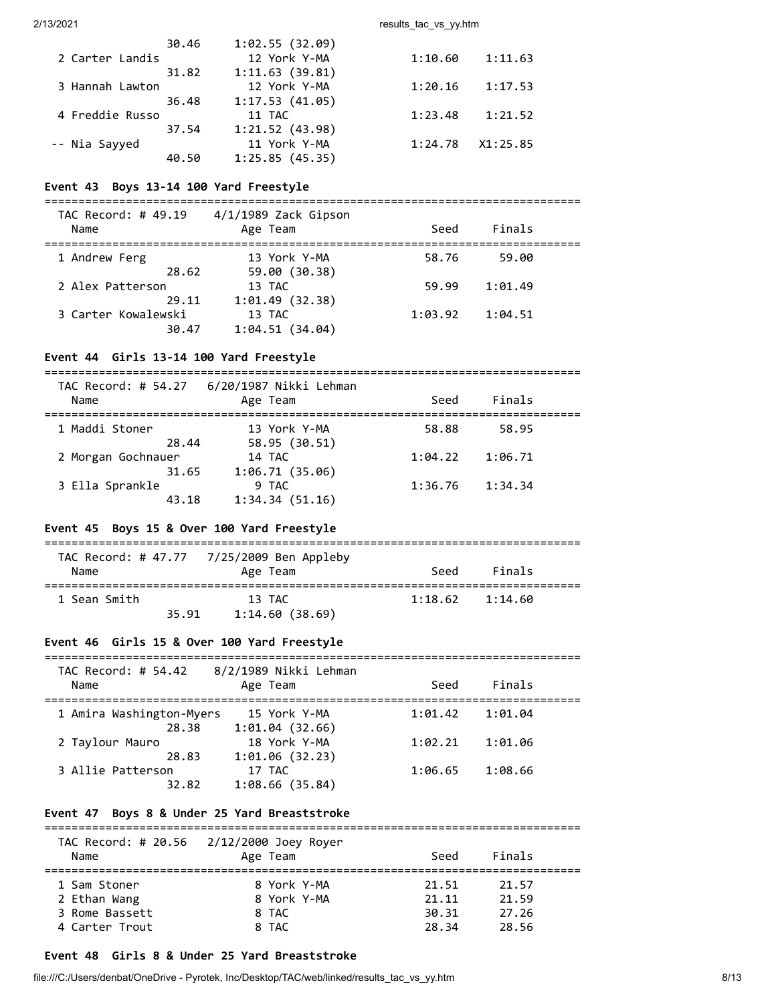2/13/2021 results\_tac\_vs\_yy.htm

| 30.46 | 1:02.55(32.09) |         |          |
|-------|----------------|---------|----------|
|       | 12 York Y-MA   | 1:10.60 | 1:11.63  |
| 31.82 | 1:11.63(39.81) |         |          |
|       | 12 York Y-MA   | 1:20.16 | 1:17.53  |
| 36.48 | 1:17.53(41.05) |         |          |
|       | 11 TAC         | 1:23.48 | 1:21.52  |
| 37.54 | 1:21.52(43.98) |         |          |
|       | 11 York Y-MA   | 1:24.78 | X1:25.85 |
| 40.50 | 1:25.85(45.35) |         |          |
|       |                |         |          |

### **Event 43 Boys 13-14 100 Yard Freestyle**

===============================================================================

| TAC Record: # 49.19<br>Name | $4/1/1989$ Zack Gipson<br>Age Team | Seed    | Finals  |  |
|-----------------------------|------------------------------------|---------|---------|--|
| 1 Andrew Ferg               | 13 York Y-MA                       | 58.76   | 59.00   |  |
| 28.62                       | 59.00 (30.38)                      |         |         |  |
| 2 Alex Patterson            | 13 TAC                             | 59.99   | 1:01.49 |  |
| 29.11                       | 1:01.49(32.38)                     |         |         |  |
| 3 Carter Kowalewski         | 13 TAC                             | 1:03.92 | 1:04.51 |  |
| 30.47                       | 1:04.51(34.04)                     |         |         |  |

### **Event 44 Girls 13-14 100 Yard Freestyle**

===============================================================================

## **Event 45 Boys 15 & Over 100 Yard Freestyle**

| Name         | TAC Record: # 47.77 7/25/2009 Ben Appleby<br>Age Team | Seed    | Finals  |
|--------------|-------------------------------------------------------|---------|---------|
| 1 Sean Smith | 13 TAC<br>1:14.60(38.69)<br>35.91                     | 1:18.62 | 1:14.60 |

## **Event 46 Girls 15 & Over 100 Yard Freestyle**

| TAC Record: # 54.42      | 8/2/1989 Nikki Lehman |         |         |  |
|--------------------------|-----------------------|---------|---------|--|
| Name                     | Age Team              | Seed    | Finals  |  |
|                          |                       |         |         |  |
| 1 Amira Washington-Myers | 15 York Y-MA          | 1:01.42 | 1:01.04 |  |
| 28.38                    | 1:01.04(32.66)        |         |         |  |
| 2 Taylour Mauro          | 18 York Y-MA          | 1:02.21 | 1:01.06 |  |
| 28.83                    | 1:01.06(32.23)        |         |         |  |
| 3 Allie Patterson        | 17 TAC                | 1:06.65 | 1:08.66 |  |
| 32.82                    | 1:08.66(35.84)        |         |         |  |

## **Event 47 Boys 8 & Under 25 Yard Breaststroke**

===============================================================================

| Name           | TAC Record: # 20.56 2/12/2000 Joey Royer<br>Age Team | Seed  | Finals |  |
|----------------|------------------------------------------------------|-------|--------|--|
| 1 Sam Stoner   | 8 York Y-MA                                          | 21.51 | 21.57  |  |
| 2 Ethan Wang   | 8 York Y-MA                                          | 21.11 | 21.59  |  |
| 3 Rome Bassett | 8 TAC                                                | 30.31 | 27.26  |  |
| 4 Carter Trout | 8 TAC                                                | 28.34 | 28.56  |  |

# **Event 48 Girls 8 & Under 25 Yard Breaststroke**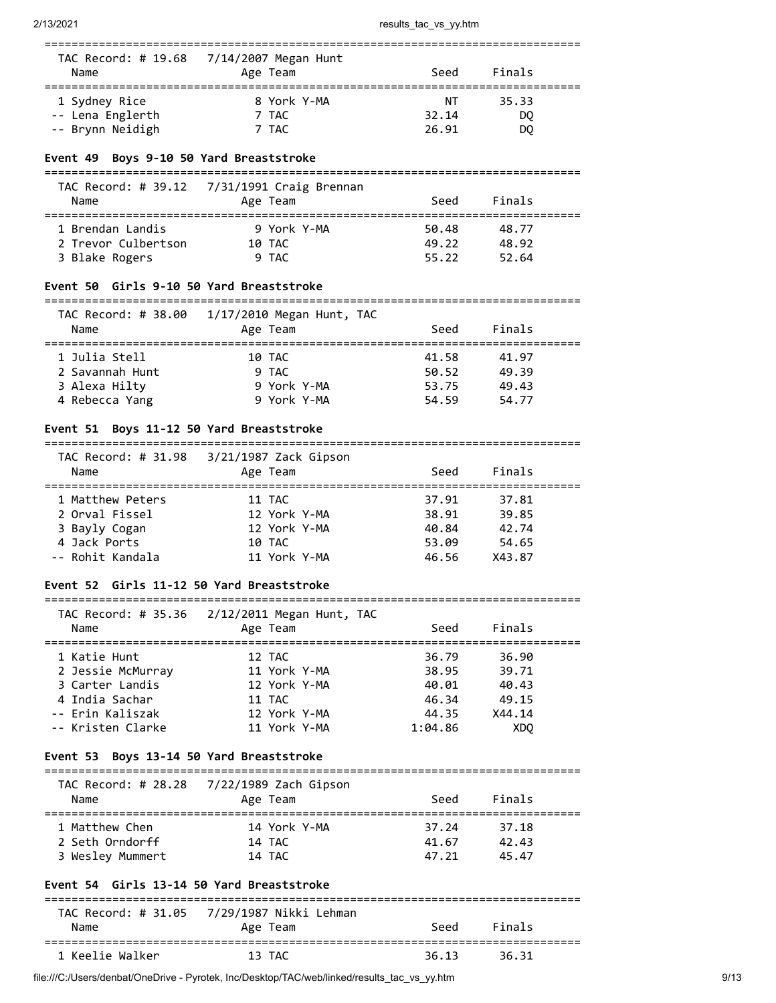| Name                                 | TAC Record: # 19.68 7/14/2007 Megan Hunt<br>Age Team | Seed        | Finals   |  |
|--------------------------------------|------------------------------------------------------|-------------|----------|--|
| 1 Sydney Rice                        | 8 York Y-MA                                          | NΤ<br>32.14 | 35.33    |  |
| -- Lena Englerth<br>-- Brynn Neidigh | 7 TAC<br>7 TAC                                       | 26.91       | DO<br>DQ |  |

### **Event 49 Boys 9-10 50 Yard Breaststroke**

===============================================================================

| Name                | Age Team    | Seed  | Finals |  |
|---------------------|-------------|-------|--------|--|
| 1 Brendan Landis    | 9 York Y-MA | 50.48 | 48.77  |  |
| 2 Trevor Culbertson | 10 TAC      | 49.22 | 48.92  |  |
| 3 Blake Rogers      | 9 TAC       | 55.22 | 52.64  |  |

### **Event 50 Girls 9-10 50 Yard Breaststroke**

===============================================================================  $TAC$  Record: # 38.00  $(17/17/2010)$  Meg

| Name            | Age Team    | Seed  | Finals |  |
|-----------------|-------------|-------|--------|--|
| 1 Julia Stell   | 10 TAC      | 41.58 | 41.97  |  |
| 2 Savannah Hunt | 9 TAC       | 50.52 | 49.39  |  |
| 3 Alexa Hilty   | 9 York Y-MA | 53.75 | 49.43  |  |
| 4 Rebecca Yang  | 9 York Y-MA | 54.59 | 54.77  |  |

### **Event 51 Boys 11-12 50 Yard Breaststroke**

=============================================================================== TAC Record: # 31.98 3/21/1987 Zack Gipson

| Name             | Age Team     | Seed  | Finals |  |
|------------------|--------------|-------|--------|--|
| 1 Matthew Peters | 11 TAC       | 37.91 | 37.81  |  |
| 2 Orval Fissel   | 12 York Y-MA | 38.91 | 39.85  |  |
| 3 Bayly Cogan    | 12 York Y-MA | 40.84 | 42.74  |  |
| 4 Jack Ports     | 10 TAC       | 53.09 | 54.65  |  |
| -- Rohit Kandala | 11 York Y-MA | 46.56 | X43.87 |  |
|                  |              |       |        |  |

## **Event 52 Girls 11-12 50 Yard Breaststroke**

===============================================================================  $2/12/2011$  Megan Hunt, TAC

| Name              | TAC RECOMU. # 35.36 - 2/12/2011 Megan Hunt, TAC<br>Age Team | Seed    | Finals          |  |
|-------------------|-------------------------------------------------------------|---------|-----------------|--|
| 1 Katie Hunt      | 12 TAC                                                      | 36.79   | 36.90           |  |
| 2 Jessie McMurray | 11 York Y-MA                                                | 38.95   | 39.71           |  |
| 3 Carter Landis   | 12 York Y-MA                                                | 40.01   | 40.43           |  |
| 4 India Sachar    | 11 TAC                                                      | 46.34   | 49.15           |  |
| -- Erin Kaliszak  | 12 York Y-MA                                                | 44.35   | X44.14          |  |
| -- Kristen Clarke | 11 York Y-MA                                                | 1:04.86 | XD <sub>0</sub> |  |
|                   |                                                             |         |                 |  |

## **Event 53 Boys 13-14 50 Yard Breaststroke**

| Name             | Age Team     | Seed  | Finals |  |
|------------------|--------------|-------|--------|--|
| 1 Matthew Chen   | 14 York Y-MA | 37.24 | 37.18  |  |
| 2 Seth Orndorff  | 14 TAC       | 41.67 | 42.43  |  |
| 3 Wesley Mummert | 14 TAC       | 47.21 | 45.47  |  |

# **Event 54 Girls 13-14 50 Yard Breaststroke**

| Name            | TAC Record: # 31.05 7/29/1987 Nikki Lehman<br>Age Team | Seed  | Finals |  |
|-----------------|--------------------------------------------------------|-------|--------|--|
| 1 Keelie Walker | 13 TAC                                                 | 36.13 | 36.31  |  |

file:///C:/Users/denbat/OneDrive - Pyrotek, Inc/Desktop/TAC/web/linked/results\_tac\_vs\_yy.htm 9/13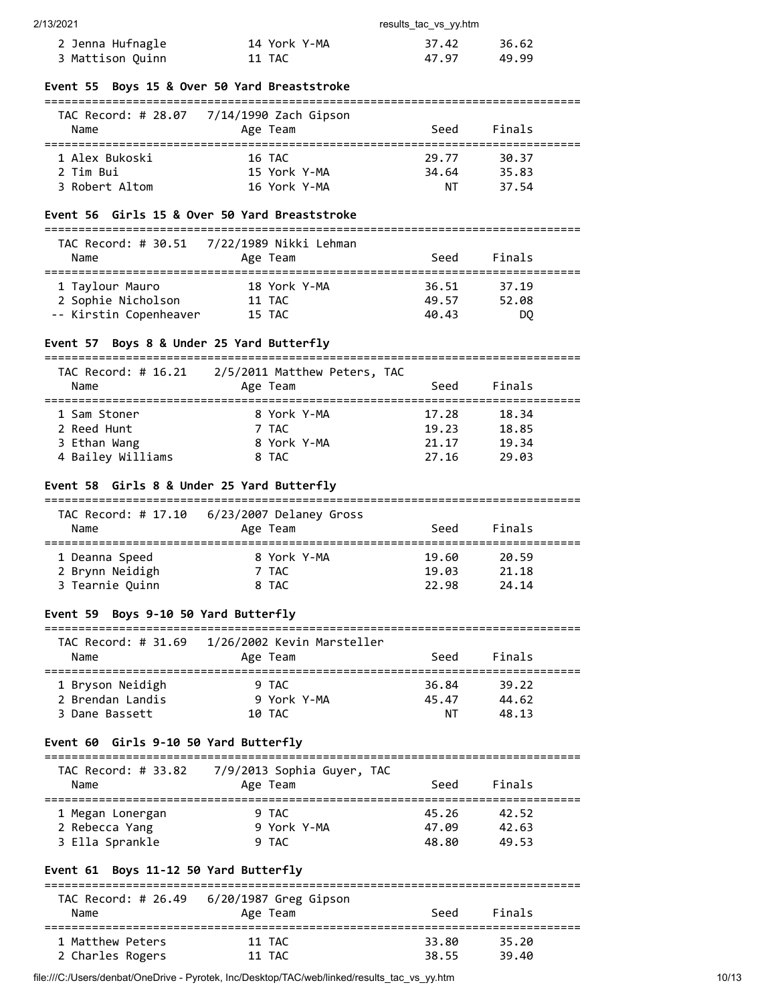| 2/13/2021 | results tac vs vv.htm |  |
|-----------|-----------------------|--|
|           |                       |  |

| 2 Jenna Hufnagle | 14 York Y-MA | 37.42 | 36.62 |
|------------------|--------------|-------|-------|
| 3 Mattison Quinn | 11 TAC       | 47.97 | 49.99 |

### **Event 55 Boys 15 & Over 50 Yard Breaststroke**

| TAC Record: # 28.07 | 7/14/1990 Zach Gipson |       |        |  |
|---------------------|-----------------------|-------|--------|--|
| Name                | Age Team              | Seed  | Finals |  |
|                     |                       |       |        |  |
|                     |                       |       |        |  |
| 1 Alex Bukoski      | 16 TAC                | 29.77 | 30.37  |  |
| 2 Tim Bui           | 15 York Y-MA          | 34.64 | 35.83  |  |

### **Event 56 Girls 15 & Over 50 Yard Breaststroke**

| Name                   | Age Team     | Seed  | Finals |  |
|------------------------|--------------|-------|--------|--|
| 1 Taylour Mauro        | 18 York Y-MA | 36.51 | 37.19  |  |
| 2 Sophie Nicholson     | 11 TAC       | 49.57 | 52.08  |  |
| -- Kirstin Copenheaver | 15 TAC       | 40.43 | DO     |  |

# **Event 57 Boys 8 & Under 25 Yard Butterfly**

| TAC Record: # 16.21 | 2/5/2011 Matthew Peters, TAC |       |        |  |
|---------------------|------------------------------|-------|--------|--|
| Name                | Age Team                     | Seed  | Finals |  |
|                     |                              |       |        |  |
| 1 Sam Stoner        | 8 York Y-MA                  | 17.28 | 18.34  |  |
| 2 Reed Hunt         | 7 TAC                        | 19.23 | 18.85  |  |
| 3 Ethan Wang        | 8 York Y-MA                  | 21.17 | 19.34  |  |
| 4 Bailey Williams   | 8 TAC                        | 27.16 | 29.03  |  |
|                     |                              |       |        |  |

## **Event 58 Girls 8 & Under 25 Yard Butterfly**

| TAC Record: # 17.10 | 6/23/2007 Delaney Gross |       |        |  |
|---------------------|-------------------------|-------|--------|--|
| Name                | Age Team                | Seed  | Finals |  |
| 1 Deanna Speed      | 8 York Y-MA             | 19.60 | 20.59  |  |
| 2 Brynn Neidigh     | 7 TAC                   | 19.03 | 21.18  |  |
| 3 Tearnie Quinn     | 8 TAC                   | 22.98 | 24.14  |  |

# **Event 59 Boys 9-10 50 Yard Butterfly**

| TAC Record: # 31.69 | 1/26/2002 Kevin Marsteller |       |        |  |
|---------------------|----------------------------|-------|--------|--|
| Name                | Age Team                   | Seed  | Finals |  |
| 1 Bryson Neidigh    | 9 TAC                      | 36.84 | 39.22  |  |

 2 Brendan Landis 9 York Y-MA 45.47 44.62 3 Dane Bassett 10 TAC NT 48.13

## **Event 60 Girls 9-10 50 Yard Butterfly**

| Name             | Age Team    | Seed  | Finals |  |
|------------------|-------------|-------|--------|--|
| 1 Megan Lonergan | 9 TAC       | 45.26 | 42.52  |  |
| 2 Rebecca Yang   | 9 York Y-MA | 47.09 | 42.63  |  |
| 3 Ella Sprankle  | 9 TAC       | 48.80 | 49.53  |  |

# **Event 61 Boys 11-12 50 Yard Butterfly**

| TAC Record: # 26.49<br>Name | 6/20/1987 Greg Gipson<br>Age Team | Seed  | Finals |  |
|-----------------------------|-----------------------------------|-------|--------|--|
| 1 Matthew Peters            | 11 TAC                            | 33.80 | 35.20  |  |
| 2 Charles Rogers            | 11 TAC                            | 38.55 | 39.40  |  |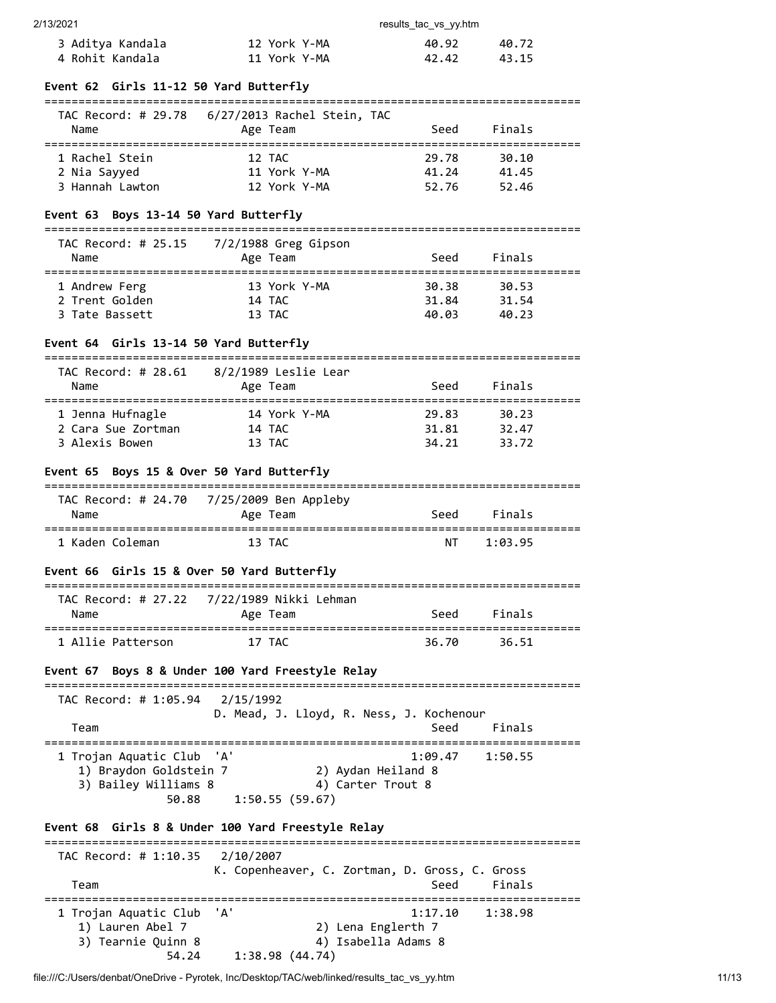| 2/13/2021 |  |  |
|-----------|--|--|

| 13/2021          |              | results tac vs yy.htm |       |
|------------------|--------------|-----------------------|-------|
| 3 Aditya Kandala | 12 York Y-MA | 40.92                 | 40.72 |
| 4 Rohit Kandala  | 11 York Y-MA | 42.42                 | 43.15 |

| Event 62 Girls 11-12 50 Yard Butterfly |  |
|----------------------------------------|--|
|----------------------------------------|--|

| TAC Record: # 29.78<br>Name | 6/27/2013 Rachel Stein, TAC<br>Age Team | Seed  | Finals |  |
|-----------------------------|-----------------------------------------|-------|--------|--|
| 1 Rachel Stein              | 12 TAC                                  | 29.78 | 30.10  |  |
| 2 Nia Sayyed                | 11 York Y-MA                            | 41.24 | 41.45  |  |
| 3 Hannah Lawton             | 12 York Y-MA                            | 52.76 | 52.46  |  |

## **Event 63 Boys 13-14 50 Yard Butterfly**

| TAC Record: # 25.15 | $7/2/1988$ Greg Gipson |       |        |  |
|---------------------|------------------------|-------|--------|--|
| Name                | Age Team               | Seed  | Finals |  |
|                     |                        |       |        |  |
| 1 Andrew Ferg       | 13 York Y-MA           | 30.38 | 30.53  |  |
| 2 Trent Golden      | 14 TAC                 | 31.84 | 31.54  |  |
| 3 Tate Bassett      | 13 TAC                 | 40.03 | 40.23  |  |

# **Event 64 Girls 13-14 50 Yard Butterfly**

| TAC Record: # 28.61<br>Name | 8/2/1989 Leslie Lear<br>Age Team | Seed  | Finals |  |
|-----------------------------|----------------------------------|-------|--------|--|
| 1 Jenna Hufnagle            | 14 York Y-MA                     | 29.83 | 30.23  |  |
| 2 Cara Sue Zortman          | 14 TAC                           | 31.81 | 32.47  |  |
| 3 Alexis Bowen              | 13 TAC                           | 34.21 | 33.72  |  |

### **Event 65 Boys 15 & Over 50 Yard Butterfly**

| TAC Record: # 24.70<br>Name | 7/25/2009 Ben Appleby<br>Age Team | Seed | Finals  |  |
|-----------------------------|-----------------------------------|------|---------|--|
| 1 Kaden Coleman             | 13 TAC                            | NΤ   | 1:03.95 |  |

### **Event 66 Girls 15 & Over 50 Yard Butterfly**

| Name              | TAC Record: # 27.22 7/22/1989 Nikki Lehman<br>Age Team | Seed  | Finals |  |
|-------------------|--------------------------------------------------------|-------|--------|--|
| 1 Allie Patterson | 17 TAC                                                 | 36.70 | 36.51  |  |

## **Event 67 Boys 8 & Under 100 Yard Freestyle Relay**

| TAC Record: # 1:05.94 2/15/1992                                                      | D. Mead, J. Lloyd, R. Ness, J. Kochenour                  |      |                     |  |
|--------------------------------------------------------------------------------------|-----------------------------------------------------------|------|---------------------|--|
| Team                                                                                 |                                                           | Seed | Finals              |  |
| 1 Trojan Aquatic Club 'A'<br>1) Braydon Goldstein 7<br>3) Bailey Williams 8<br>50.88 | 2) Aydan Heiland 8<br>4) Carter Trout 8<br>1:50.55(59.67) |      | $1:09.47$ $1:50.55$ |  |

#### **Event 68 Girls 8 & Under 100 Yard Freestyle Relay** ===============================================================================

| TAC Record: # 1:10.35 2/10/2007 | K. Copenheaver, C. Zortman, D. Gross, C. Gross |
|---------------------------------|------------------------------------------------|
| Team                            | Finals<br>Seed                                 |
| 1 Trojan Aquatic Club 'A'       | 1:38.98<br>1:17.10                             |
| 1) Lauren Abel 7                | 2) Lena Englerth 7                             |
| 3) Tearnie Quinn 8              | 4) Isabella Adams 8                            |
| 54.24                           | 1:38.98(44.74)                                 |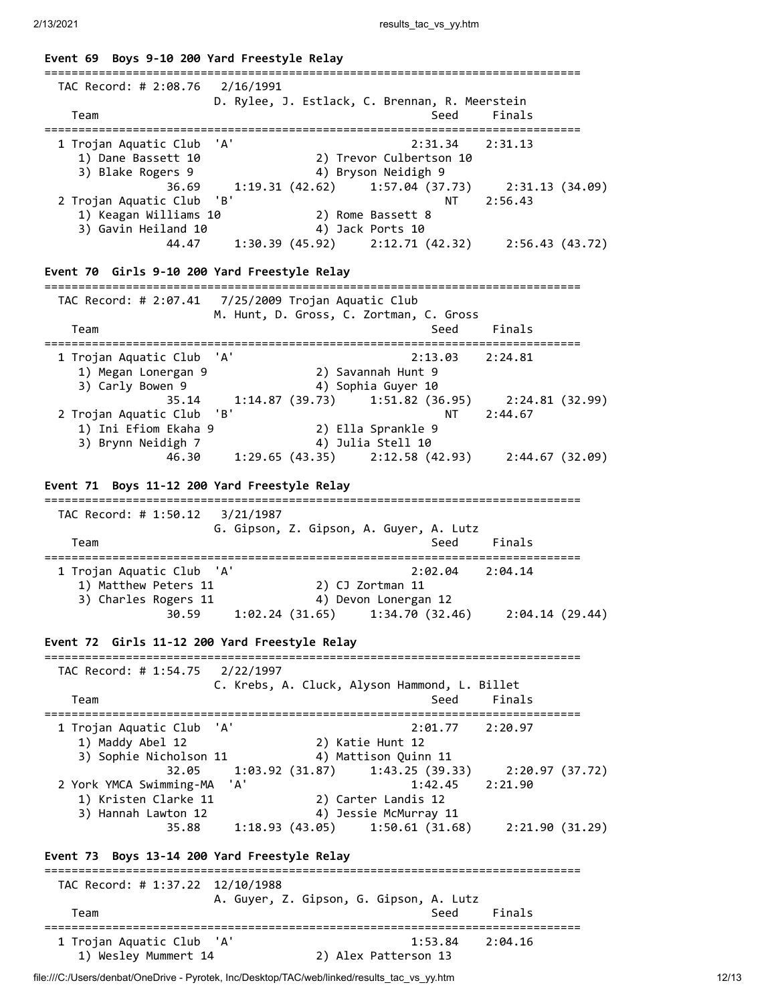**Event 69 Boys 9-10 200 Yard Freestyle Relay** =============================================================================== TAC Record: # 2:08.76 2/16/1991 D. Rylee, J. Estlack, C. Brennan, R. Meerstein Team Seed Finals =============================================================================== 1 Trojan Aquatic Club 'A' 2:31.34 2:31.13 1) Dane Bassett 10 2) Trevor Culbertson 10 3) Blake Rogers 9 4) Bryson Neidigh 9 36.69 1:19.31 (42.62) 1:57.04 (37.73) 2:31.13 (34.09) 2 Trojan Aquatic Club 'B' NT 2:56.43 1) Keagan Williams 10 2) Rome Bassett 8 3) Gavin Heiland 10 4) Jack Ports 10 44.47 1:30.39 (45.92) 2:12.71 (42.32) 2:56.43 (43.72) **Event 70 Girls 9-10 200 Yard Freestyle Relay** =============================================================================== TAC Record: # 2:07.41 7/25/2009 Trojan Aquatic Club M. Hunt, D. Gross, C. Zortman, C. Gross Team Seed Finals =============================================================================== 1 Trojan Aquatic Club 'A' 2:13.03 2:24.81 1) Megan Lonergan 9 2) Savannah Hunt 9 3) Carly Bowen 9 4) Sophia Guyer 10 35.14 1:14.87 (39.73) 1:51.82 (36.95) 2:24.81 (32.99) 2 Trojan Aquatic Club 'B' NT 2:44.67 1) Ini Efiom Ekaha 9 2) Ella Sprankle 9 3) Brynn Neidigh 7 4) Julia Stell 10 46.30 1:29.65 (43.35) 2:12.58 (42.93) 2:44.67 (32.09) **Event 71 Boys 11-12 200 Yard Freestyle Relay** =============================================================================== TAC Record: # 1:50.12 3/21/1987 G. Gipson, Z. Gipson, A. Guyer, A. Lutz Team Seed Finals =============================================================================== 1 Trojan Aquatic Club 'A' 2:02.04 2:04.14 1) Matthew Peters 11 2) CJ Zortman 11 3) Charles Rogers 11 4) Devon Lonergan 12 30.59 1:02.24 (31.65) 1:34.70 (32.46) 2:04.14 (29.44) **Event 72 Girls 11-12 200 Yard Freestyle Relay** =============================================================================== TAC Record: # 1:54.75 2/22/1997 C. Krebs, A. Cluck, Alyson Hammond, L. Billet Team Seed Finals =============================================================================== 1 Trojan Aquatic Club 'A' 2:01.77 2:20.97 1) Maddy Abel 12 2) Katie Hunt 12 3) Sophie Nicholson 11 4) Mattison Quinn 11 32.05 1:03.92 (31.87) 1:43.25 (39.33) 2:20.97 (37.72) 2 York YMCA Swimming-MA 'A' 1:42.45 2:21.90 1) Kristen Clarke 11 2) Carter Landis 12 3) Hannah Lawton 12 4) Jessie McMurray 11 35.88 1:18.93 (43.05) 1:50.61 (31.68) 2:21.90 (31.29) **Event 73 Boys 13-14 200 Yard Freestyle Relay** =============================================================================== TAC Record: # 1:37.22 12/10/1988 A. Guyer, Z. Gipson, G. Gipson, A. Lutz Team Seed Finals ===============================================================================  $1:53.84$   $2:04.16$ 1) Wesley Mummert 14 2) Alex Patterson 13

file:///C:/Users/denbat/OneDrive - Pyrotek, Inc/Desktop/TAC/web/linked/results\_tac\_vs\_yy.htm 12/13